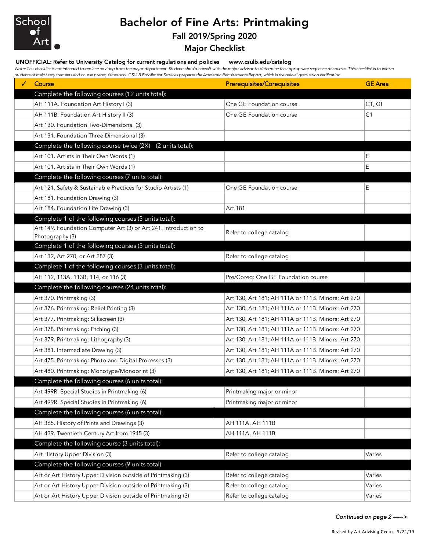

## Bachelor of Fine Arts: Printmaking

## Fall 2019/Spring 2020

Major Checklist

## UNOFFICIAL: Refer to University Catalog for current regulations and policies www.csulb.edu/catalog

*Note: This checklist is not intended to replace advising from the major department. Students should consult with the major advisor to determine the appropriate sequence of courses. This checklist is to inform students of major requirements and course prerequisites only. CSULB Enrollment Services prepares the Academic Requirements Report, which is the official graduation verification.*

| Course                                                           | <b>Prerequisites/Corequisites</b>                  | <b>GE</b> Area |
|------------------------------------------------------------------|----------------------------------------------------|----------------|
| Complete the following courses (12 units total):                 |                                                    |                |
| AH 111A. Foundation Art History I (3)                            | One GE Foundation course                           | C1, G1         |
| AH 111B. Foundation Art History II (3)                           | One GE Foundation course                           | C1             |
| Art 130. Foundation Two-Dimensional (3)                          |                                                    |                |
| Art 131. Foundation Three Dimensional (3)                        |                                                    |                |
| Complete the following course twice (2X)<br>(2 units total):     |                                                    |                |
| Art 101. Artists in Their Own Words (1)                          |                                                    | E              |
| Art 101. Artists in Their Own Words (1)                          |                                                    | Ε              |
| Complete the following courses (7 units total):                  |                                                    |                |
| Art 121. Safety & Sustainable Practices for Studio Artists (1)   | One GE Foundation course                           | E              |
| Art 181. Foundation Drawing (3)                                  |                                                    |                |
| Art 184. Foundation Life Drawing (3)                             | Art 181                                            |                |
| Complete 1 of the following courses (3 units total):             |                                                    |                |
| Art 149. Foundation Computer Art (3) or Art 241. Introduction to | Refer to college catalog                           |                |
| Photography (3)                                                  |                                                    |                |
| Complete 1 of the following courses (3 units total):             |                                                    |                |
| Art 132, Art 270, or Art 287 (3)                                 | Refer to college catalog                           |                |
| Complete 1 of the following courses (3 units total):             |                                                    |                |
| AH 112, 113A, 113B, 114, or 116 (3)                              | Pre/Coreq: One GE Foundation course                |                |
| Complete the following courses (24 units total):                 |                                                    |                |
| Art 370. Printmaking (3)                                         | Art 130, Art 181; AH 111A or 111B. Minors: Art 270 |                |
| Art 376. Printmaking: Relief Printing (3)                        | Art 130, Art 181; AH 111A or 111B. Minors: Art 270 |                |
| Art 377. Printmaking: Silkscreen (3)                             | Art 130, Art 181; AH 111A or 111B. Minors: Art 270 |                |
| Art 378. Printmaking: Etching (3)                                | Art 130, Art 181; AH 111A or 111B. Minors: Art 270 |                |
| Art 379. Printmaking: Lithography (3)                            | Art 130, Art 181; AH 111A or 111B. Minors: Art 270 |                |
| Art 381. Intermediate Drawing (3)                                | Art 130, Art 181; AH 111A or 111B. Minors: Art 270 |                |
| Art 475. Printmaking: Photo and Digital Processes (3)            | Art 130, Art 181; AH 111A or 111B. Minors: Art 270 |                |
| Art 480. Printmaking: Monotype/Monoprint (3)                     | Art 130, Art 181; AH 111A or 111B. Minors: Art 270 |                |
| Complete the following courses (6 units total):                  |                                                    |                |
| Art 499R. Special Studies in Printmaking (6)                     | Printmaking major or minor                         |                |
| Art 499R. Special Studies in Printmaking (6)                     | Printmaking major or minor                         |                |
| Complete the following courses (6 units total):                  |                                                    |                |
| AH 365. History of Prints and Drawings (3)                       | AH 111A, AH 111B                                   |                |
| AH 439. Twentieth Century Art from 1945 (3)                      | AH 111A, AH 111B                                   |                |
| Complete the following course (3 units total):                   |                                                    |                |
| Art History Upper Division (3)                                   | Refer to college catalog                           | Varies         |
| Complete the following courses (9 units total):                  |                                                    |                |
| Art or Art History Upper Division outside of Printmaking (3)     | Refer to college catalog                           | Varies         |
| Art or Art History Upper Division outside of Printmaking (3)     | Refer to college catalog                           | Varies         |
| Art or Art History Upper Division outside of Printmaking (3)     | Refer to college catalog                           | Varies         |

*Continued on page 2 ----->*